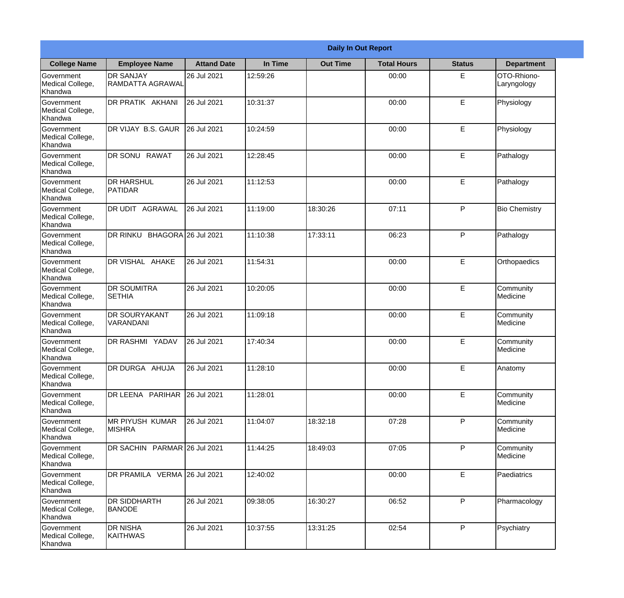|                                           |                                             |                    |          | <b>Daily In Out Report</b> |                    |               |                            |
|-------------------------------------------|---------------------------------------------|--------------------|----------|----------------------------|--------------------|---------------|----------------------------|
| <b>College Name</b>                       | <b>Employee Name</b>                        | <b>Attand Date</b> | In Time  | <b>Out Time</b>            | <b>Total Hours</b> | <b>Status</b> | <b>Department</b>          |
| Government<br>Medical College,<br>Khandwa | <b>DR SANJAY</b><br><b>RAMDATTA AGRAWAL</b> | 26 Jul 2021        | 12:59:26 |                            | 00:00              | E             | OTO-Rhiono-<br>Laryngology |
| Government<br>Medical College,<br>Khandwa | DR PRATIK AKHANI                            | 26 Jul 2021        | 10:31:37 |                            | 00:00              | E             | Physiology                 |
| Government<br>Medical College,<br>Khandwa | DR VIJAY B.S. GAUR                          | 26 Jul 2021        | 10:24:59 |                            | 00:00              | E             | Physiology                 |
| Government<br>Medical College,<br>Khandwa | <b>DR SONU RAWAT</b>                        | 26 Jul 2021        | 12:28:45 |                            | 00:00              | E             | Pathalogy                  |
| Government<br>Medical College,<br>Khandwa | <b>DR HARSHUL</b><br><b>PATIDAR</b>         | 26 Jul 2021        | 11:12:53 |                            | 00:00              | E             | Pathalogy                  |
| Government<br>Medical College,<br>Khandwa | DR UDIT AGRAWAL                             | 26 Jul 2021        | 11:19:00 | 18:30:26                   | 07:11              | P             | <b>Bio Chemistry</b>       |
| Government<br>Medical College,<br>Khandwa | DR RINKU BHAGORA 26 Jul 2021                |                    | 11:10:38 | 17:33:11                   | 06:23              | P             | Pathalogy                  |
| Government<br>Medical College,<br>Khandwa | DR VISHAL AHAKE                             | 26 Jul 2021        | 11:54:31 |                            | 00:00              | E             | Orthopaedics               |
| Government<br>Medical College,<br>Khandwa | <b>DR SOUMITRA</b><br><b>SETHIA</b>         | 26 Jul 2021        | 10:20:05 |                            | 00:00              | E             | Community<br>Medicine      |
| Government<br>Medical College,<br>Khandwa | <b>DR SOURYAKANT</b><br>VARANDANI           | 26 Jul 2021        | 11:09:18 |                            | 00:00              | E             | Community<br>Medicine      |
| Government<br>Medical College,<br>Khandwa | DR RASHMI YADAV                             | 26 Jul 2021        | 17:40:34 |                            | 00:00              | E             | Community<br>Medicine      |
| Government<br>Medical College,<br>Khandwa | DR DURGA AHUJA                              | 26 Jul 2021        | 11:28:10 |                            | 00:00              | E             | Anatomy                    |
| Government<br>Medical College,<br>Khandwa | DR LEENA PARIHAR                            | 26 Jul 2021        | 11:28:01 |                            | 00:00              | E             | Community<br>Medicine      |
| Government<br>Medical College,<br>Khandwa | <b>MR PIYUSH KUMAR</b><br><b>MISHRA</b>     | 26 Jul 2021        | 11:04:07 | 18:32:18                   | 07:28              | P             | Community<br>Medicine      |
| Government<br>Medical College,<br>Khandwa | DR SACHIN PARMAR 26 Jul 2021                |                    | 11:44:25 | 18:49:03                   | 07:05              | P             | Community<br>Medicine      |
| Government<br>Medical College,<br>Khandwa | DR PRAMILA VERMA                            | 26 Jul 2021        | 12:40:02 |                            | 00:00              | E             | Paediatrics                |
| Government<br>Medical College,<br>Khandwa | <b>DR SIDDHARTH</b><br><b>BANODE</b>        | 26 Jul 2021        | 09:38:05 | 16:30:27                   | 06:52              | P             | Pharmacology               |
| Government<br>Medical College,<br>Khandwa | <b>DR NISHA</b><br><b>KAITHWAS</b>          | 26 Jul 2021        | 10:37:55 | 13:31:25                   | 02:54              | P             | Psychiatry                 |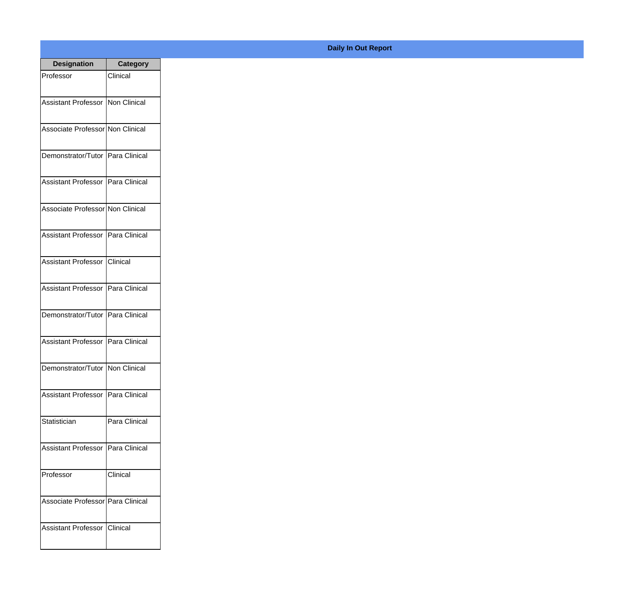| <b>Designation</b>                  | <b>Category</b> |
|-------------------------------------|-----------------|
| Professor                           | Clinical        |
| Assistant Professor   Non Clinical  |                 |
|                                     |                 |
| Associate Professor Non Clinical    |                 |
|                                     |                 |
| Demonstrator/Tutor Para Clinical    |                 |
| Assistant Professor   Para Clinical |                 |
|                                     |                 |
| Associate Professor Non Clinical    |                 |
|                                     |                 |
| Assistant Professor Para Clinical   |                 |
| Assistant Professor Clinical        |                 |
|                                     |                 |
| Assistant Professor   Para Clinical |                 |
|                                     |                 |
| Demonstrator/Tutor Para Clinical    |                 |
| Assistant Professor Para Clinical   |                 |
|                                     |                 |
| Demonstrator/Tutor Non Clinical     |                 |
|                                     |                 |
| Assistant Professor   Para Clinical |                 |
| Statistician                        | Para Clinical   |
|                                     |                 |
| Assistant Professor Para Clinical   |                 |
|                                     |                 |
| Professor                           | Clinical        |
| Associate Professor   Para Clinical |                 |
|                                     |                 |
| Assistant Professor Clinical        |                 |
|                                     |                 |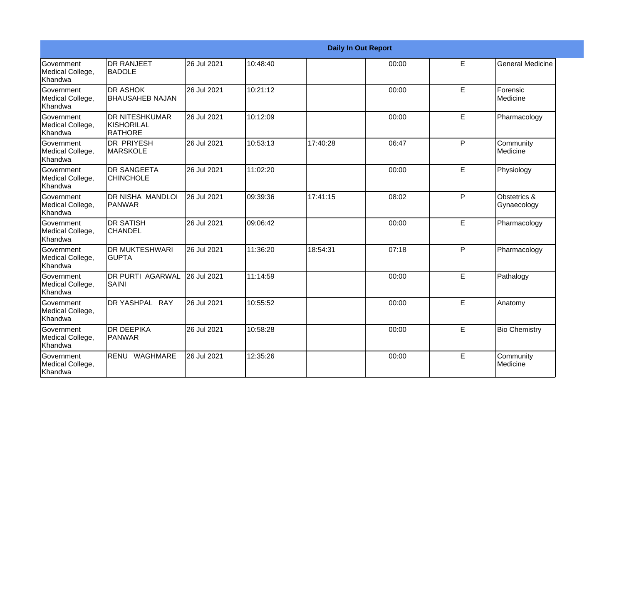|                                                  |                                                |             |          | <b>Daily In Out Report</b> |       |   |                             |
|--------------------------------------------------|------------------------------------------------|-------------|----------|----------------------------|-------|---|-----------------------------|
| Government<br>Medical College,<br>Khandwa        | <b>DR RANJEET</b><br><b>BADOLE</b>             | 26 Jul 2021 | 10:48:40 |                            | 00:00 | E | <b>General Medicine</b>     |
| Government<br>Medical College,<br>Khandwa        | <b>DR ASHOK</b><br><b>BHAUSAHEB NAJAN</b>      | 26 Jul 2021 | 10:21:12 |                            | 00:00 | E | Forensic<br>Medicine        |
| Government<br>Medical College,<br>Khandwa        | <b>DR NITESHKUMAR</b><br>KISHORILAL<br>RATHORE | 26 Jul 2021 | 10:12:09 |                            | 00:00 | E | Pharmacology                |
| <b>Government</b><br>Medical College,<br>Khandwa | <b>DR PRIYESH</b><br><b>MARSKOLE</b>           | 26 Jul 2021 | 10:53:13 | 17:40:28                   | 06:47 | P | Community<br>Medicine       |
| <b>Government</b><br>Medical College,<br>Khandwa | <b>DR SANGEETA</b><br><b>CHINCHOLE</b>         | 26 Jul 2021 | 11:02:20 |                            | 00:00 | E | Physiology                  |
| Government<br>Medical College,<br>Khandwa        | DR NISHA MANDLOI<br>PANWAR                     | 26 Jul 2021 | 09:39:36 | 17:41:15                   | 08:02 | P | Obstetrics &<br>Gynaecology |
| Government<br>Medical College,<br>Khandwa        | <b>DR SATISH</b><br><b>CHANDEL</b>             | 26 Jul 2021 | 09:06:42 |                            | 00:00 | E | Pharmacology                |
| <b>Government</b><br>Medical College,<br>Khandwa | <b>DR MUKTESHWARI</b><br><b>GUPTA</b>          | 26 Jul 2021 | 11:36:20 | 18:54:31                   | 07:18 | P | Pharmacology                |
| Government<br>Medical College,<br>Khandwa        | <b>DR PURTI AGARWAL</b><br><b>SAINI</b>        | 26 Jul 2021 | 11:14:59 |                            | 00:00 | E | Pathalogy                   |
| Government<br>Medical College,<br>Khandwa        | DR YASHPAL RAY                                 | 26 Jul 2021 | 10:55:52 |                            | 00:00 | E | Anatomy                     |
| Government<br>Medical College,<br>Khandwa        | <b>DR DEEPIKA</b><br>PANWAR                    | 26 Jul 2021 | 10:58:28 |                            | 00:00 | E | <b>Bio Chemistry</b>        |
| Government<br>Medical College,<br>Khandwa        | RENU<br>WAGHMARE                               | 26 Jul 2021 | 12:35:26 |                            | 00:00 | E | Community<br>Medicine       |